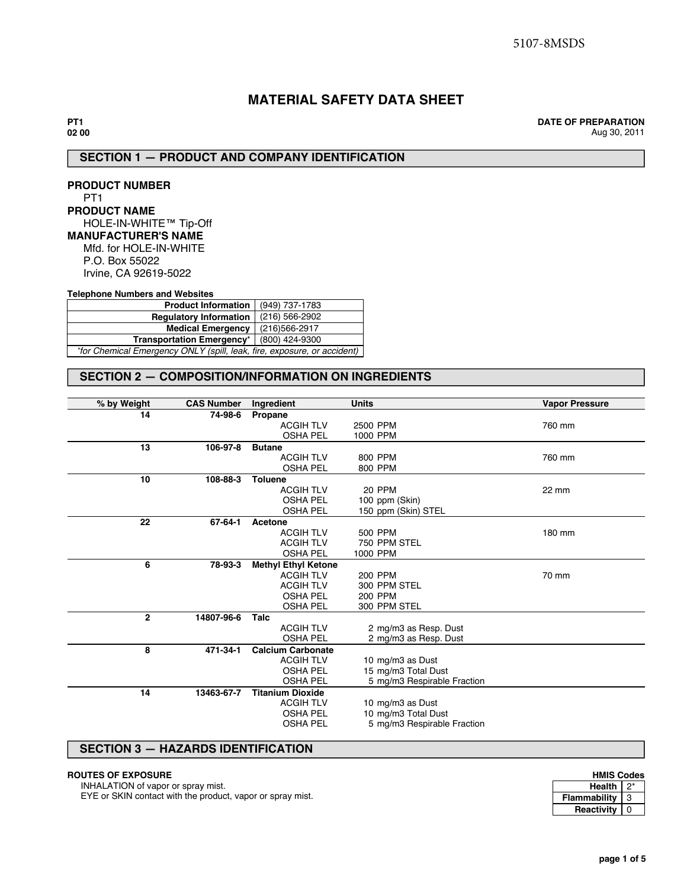# **MATERIAL SAFETY DATA SHEET**

**PT1 02 00** **DATE OF PREPARATION** Aug 30, 2011

# **SECTION 1 — PRODUCT AND COMPANY IDENTIFICATION**

| <b>PRODUCT NUMBER</b><br>PT1 |  |
|------------------------------|--|
| <b>PRODUCT NAME</b>          |  |
| HOLE-IN-WHITE™ Tip-Off       |  |
| <b>MANUFACTURER'S NAME</b>   |  |
| Mfd. for HOI F-IN-WHITF      |  |
| P.O. Box 55022               |  |
| Irvine, CA 92619-5022        |  |

**Telephone Numbers and Websites**

| <b>Product Information I</b>                                            | (949) 737-1783 |  |  |
|-------------------------------------------------------------------------|----------------|--|--|
| <b>Requiatory Information</b>                                           | (216) 566-2902 |  |  |
| Medical Emergency   (216)566-2917                                       |                |  |  |
| Transportation Emergency*   (800) 424-9300                              |                |  |  |
| *for Chemical Emergency ONLY (spill, leak, fire, exposure, or accident) |                |  |  |

# **SECTION 2 — COMPOSITION/INFORMATION ON INGREDIENTS**

| % by Weight  | <b>CAS Number</b> | Ingredient                 | <b>Units</b>                | <b>Vapor Pressure</b> |
|--------------|-------------------|----------------------------|-----------------------------|-----------------------|
| 14           | 74-98-6           | Propane                    |                             |                       |
|              |                   | <b>ACGIH TLV</b>           | 2500 PPM                    | 760 mm                |
|              |                   | <b>OSHA PEL</b>            | 1000 PPM                    |                       |
| 13           | 106-97-8          | <b>Butane</b>              |                             |                       |
|              |                   | <b>ACGIH TLV</b>           | 800 PPM                     | 760 mm                |
|              |                   | <b>OSHA PEL</b>            | 800 PPM                     |                       |
| 10           | 108-88-3          | <b>Toluene</b>             |                             |                       |
|              |                   | <b>ACGIH TLV</b>           | 20 PPM                      | 22 mm                 |
|              |                   | <b>OSHA PEL</b>            | 100 ppm (Skin)              |                       |
|              |                   | <b>OSHA PEL</b>            | 150 ppm (Skin) STEL         |                       |
| 22           | 67-64-1           | Acetone                    |                             |                       |
|              |                   | <b>ACGIH TLV</b>           | <b>500 PPM</b>              | 180 mm                |
|              |                   | <b>ACGIH TLV</b>           | 750 PPM STEL                |                       |
|              |                   | <b>OSHA PEL</b>            | 1000 PPM                    |                       |
| 6            | 78-93-3           | <b>Methyl Ethyl Ketone</b> |                             |                       |
|              |                   | <b>ACGIH TLV</b>           | 200 PPM                     | 70 mm                 |
|              |                   | <b>ACGIH TLV</b>           | 300 PPM STEL                |                       |
|              |                   | <b>OSHA PEL</b>            | <b>200 PPM</b>              |                       |
|              |                   | <b>OSHA PEL</b>            | 300 PPM STEL                |                       |
| $\mathbf{2}$ | 14807-96-6        | Talc                       |                             |                       |
|              |                   | <b>ACGIH TLV</b>           | 2 mg/m3 as Resp. Dust       |                       |
|              |                   | <b>OSHA PEL</b>            | 2 mg/m3 as Resp. Dust       |                       |
| 8            | 471-34-1          | <b>Calcium Carbonate</b>   |                             |                       |
|              |                   | <b>ACGIH TLV</b>           | 10 mg/m3 as Dust            |                       |
|              |                   | <b>OSHA PEL</b>            | 15 mg/m3 Total Dust         |                       |
|              |                   | <b>OSHA PEL</b>            | 5 mg/m3 Respirable Fraction |                       |
| 14           | 13463-67-7        | <b>Titanium Dioxide</b>    |                             |                       |
|              |                   | <b>ACGIH TLV</b>           | 10 mg/m3 as Dust            |                       |
|              |                   | <b>OSHA PEL</b>            | 10 mg/m3 Total Dust         |                       |
|              |                   | <b>OSHA PEL</b>            | 5 mg/m3 Respirable Fraction |                       |
|              |                   |                            |                             |                       |

# **SECTION 3 — HAZARDS IDENTIFICATION**

# **ROUTES OF EXPOSURE**

INHALATION of vapor or spray mist. EYE or SKIN contact with the product, vapor or spray mist.

| <b>HMIS Codes</b> |   |  |
|-------------------|---|--|
| <b>Health</b>     |   |  |
| Flammability      | з |  |
| Reactivity        | n |  |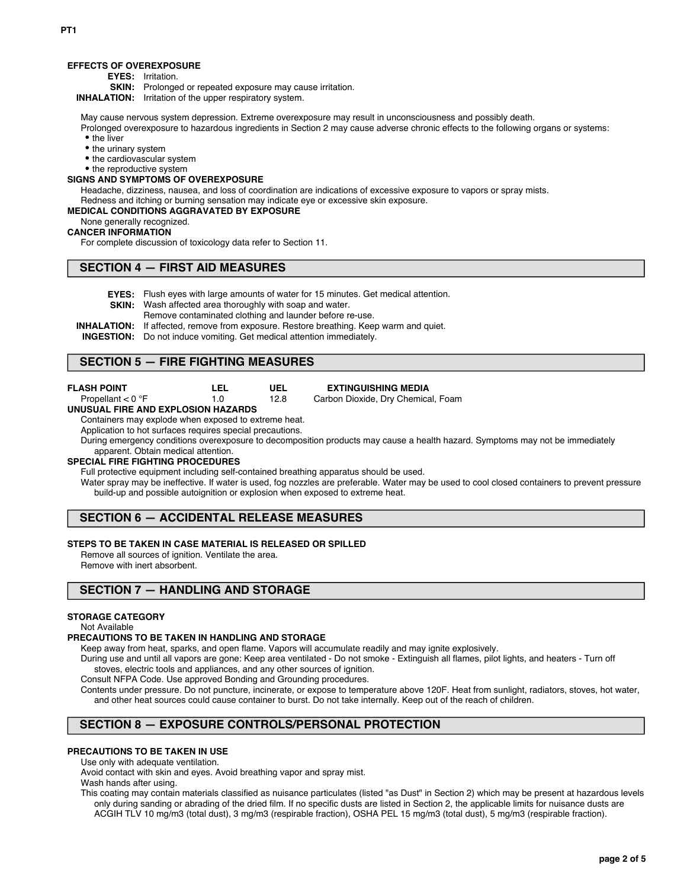#### **EFFECTS OF OVEREXPOSURE**

**EYES:** Irritation.

**SKIN:** Prolonged or repeated exposure may cause irritation.

**INHALATION:** Irritation of the upper respiratory system.

May cause nervous system depression. Extreme overexposure may result in unconsciousness and possibly death.

Prolonged overexposure to hazardous ingredients in Section 2 may cause adverse chronic effects to the following organs or systems: • the liver

- the urinary system
- the cardiovascular system
- the reproductive system

# **SIGNS AND SYMPTOMS OF OVEREXPOSURE**

Headache, dizziness, nausea, and loss of coordination are indications of excessive exposure to vapors or spray mists. Redness and itching or burning sensation may indicate eye or excessive skin exposure.

## **MEDICAL CONDITIONS AGGRAVATED BY EXPOSURE**

None generally recognized.

## **CANCER INFORMATION**

For complete discussion of toxicology data refer to Section 11.

## **SECTION 4 — FIRST AID MEASURES**

**EYES:** Flush eyes with large amounts of water for 15 minutes. Get medical attention.

**SKIN:** Wash affected area thoroughly with soap and water.

Remove contaminated clothing and launder before re-use.

**INHALATION:** If affected, remove from exposure. Restore breathing. Keep warm and quiet.

**UEL** 12.8

**INGESTION:** Do not induce vomiting. Get medical attention immediately.

## **SECTION 5 — FIRE FIGHTING MEASURES**

| <b>FLASH POINT</b> |  |  |
|--------------------|--|--|
|--------------------|--|--|

### **EXTINGUISHING MEDIA**

Carbon Dioxide, Dry Chemical, Foam

#### Propellant  $< 0$  °F **UNUSUAL FIRE AND EXPLOSION HAZARDS**

Containers may explode when exposed to extreme heat.

Application to hot surfaces requires special precautions.

During emergency conditions overexposure to decomposition products may cause a health hazard. Symptoms may not be immediately apparent. Obtain medical attention.

# **SPECIAL FIRE FIGHTING PROCEDURES**

Full protective equipment including self-contained breathing apparatus should be used.

Water spray may be ineffective. If water is used, fog nozzles are preferable. Water may be used to cool closed containers to prevent pressure build-up and possible autoignition or explosion when exposed to extreme heat.

# **SECTION 6 — ACCIDENTAL RELEASE MEASURES**

### **STEPS TO BE TAKEN IN CASE MATERIAL IS RELEASED OR SPILLED**

Remove all sources of ignition. Ventilate the area. Remove with inert absorbent.

# **SECTION 7 — HANDLING AND STORAGE**

## **STORAGE CATEGORY**

Not Available

### **PRECAUTIONS TO BE TAKEN IN HANDLING AND STORAGE**

Keep away from heat, sparks, and open flame. Vapors will accumulate readily and may ignite explosively.

During use and until all vapors are gone: Keep area ventilated - Do not smoke - Extinguish all flames, pilot lights, and heaters - Turn off stoves, electric tools and appliances, and any other sources of ignition.

Consult NFPA Code. Use approved Bonding and Grounding procedures.

Contents under pressure. Do not puncture, incinerate, or expose to temperature above 120F. Heat from sunlight, radiators, stoves, hot water, and other heat sources could cause container to burst. Do not take internally. Keep out of the reach of children.

# **SECTION 8 — EXPOSURE CONTROLS/PERSONAL PROTECTION**

#### **PRECAUTIONS TO BE TAKEN IN USE**

Use only with adequate ventilation.

Avoid contact with skin and eyes. Avoid breathing vapor and spray mist.

Wash hands after using.

This coating may contain materials classified as nuisance particulates (listed "as Dust" in Section 2) which may be present at hazardous levels only during sanding or abrading of the dried film. If no specific dusts are listed in Section 2, the applicable limits for nuisance dusts are ACGIH TLV 10 mg/m3 (total dust), 3 mg/m3 (respirable fraction), OSHA PEL 15 mg/m3 (total dust), 5 mg/m3 (respirable fraction).

**PT1**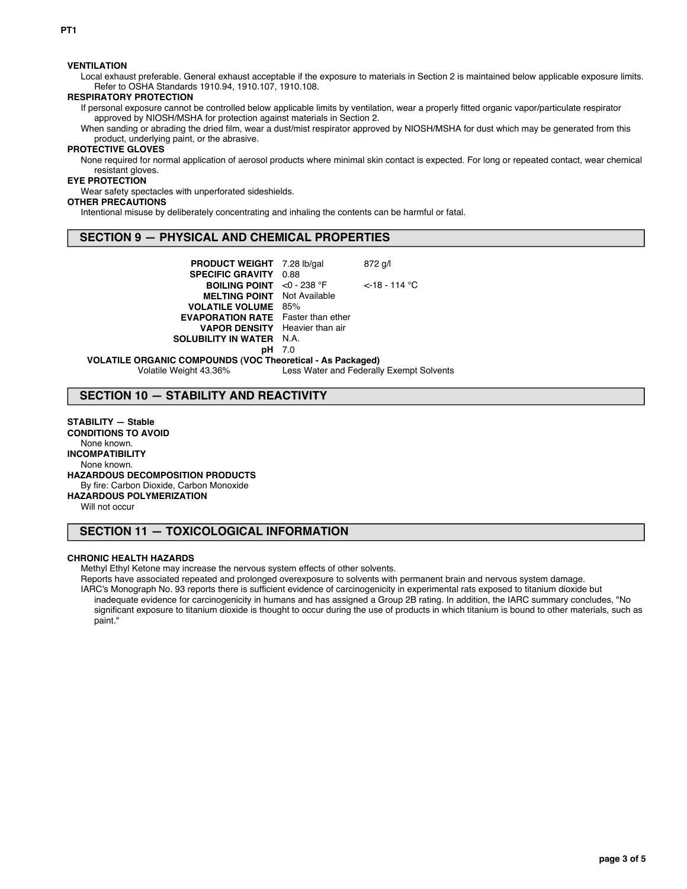### **VENTILATION**

Local exhaust preferable. General exhaust acceptable if the exposure to materials in Section 2 is maintained below applicable exposure limits. Refer to OSHA Standards 1910.94, 1910.107, 1910.108.

### **RESPIRATORY PROTECTION**

If personal exposure cannot be controlled below applicable limits by ventilation, wear a properly fitted organic vapor/particulate respirator approved by NIOSH/MSHA for protection against materials in Section 2.

When sanding or abrading the dried film, wear a dust/mist respirator approved by NIOSH/MSHA for dust which may be generated from this product, underlying paint, or the abrasive.

## **PROTECTIVE GLOVES**

None required for normal application of aerosol products where minimal skin contact is expected. For long or repeated contact, wear chemical resistant gloves.

# **EYE PROTECTION**

Wear safety spectacles with unperforated sideshields.

## **OTHER PRECAUTIONS**

Intentional misuse by deliberately concentrating and inhaling the contents can be harmful or fatal.

# **SECTION 9 — PHYSICAL AND CHEMICAL PROPERTIES**

| <b>PRODUCT WEIGHT</b> 7.28 lb/gal                                 |                                    | 872 g/l         |
|-------------------------------------------------------------------|------------------------------------|-----------------|
| <b>SPECIFIC GRAVITY 0.88</b>                                      |                                    |                 |
| <b>BOILING POINT</b> $\leq 0$ - 238 °F                            |                                    | $<$ 18 - 114 °C |
| <b>MELTING POINT</b> Not Available                                |                                    |                 |
| <b>VOLATILE VOLUME 85%</b>                                        |                                    |                 |
| <b>EVAPORATION RATE</b> Faster than ether                         |                                    |                 |
| <b>VAPOR DENSITY</b> Heavier than air                             |                                    |                 |
| <b>SOLUBILITY IN WATER N.A.</b>                                   |                                    |                 |
|                                                                   | <b>pH</b> 7.0                      |                 |
| <b>VOLATILE ORGANIC COMPOUNDS (VOC Theoretical - As Packaged)</b> |                                    |                 |
| Volatile Weight 43.36%                                            | Less Water and Federally Exempt So |                 |

Less Water and Federally Exempt Solvents

# **SECTION 10 — STABILITY AND REACTIVITY**

**STABILITY — Stable CONDITIONS TO AVOID** None known. **INCOMPATIBILITY** None known. **HAZARDOUS DECOMPOSITION PRODUCTS** By fire: Carbon Dioxide, Carbon Monoxide **HAZARDOUS POLYMERIZATION** Will not occur

# **SECTION 11 — TOXICOLOGICAL INFORMATION**

### **CHRONIC HEALTH HAZARDS**

Methyl Ethyl Ketone may increase the nervous system effects of other solvents.

Reports have associated repeated and prolonged overexposure to solvents with permanent brain and nervous system damage.

IARC's Monograph No. 93 reports there is sufficient evidence of carcinogenicity in experimental rats exposed to titanium dioxide but inadequate evidence for carcinogenicity in humans and has assigned a Group 2B rating. In addition, the IARC summary concludes, "No significant exposure to titanium dioxide is thought to occur during the use of products in which titanium is bound to other materials, such as paint."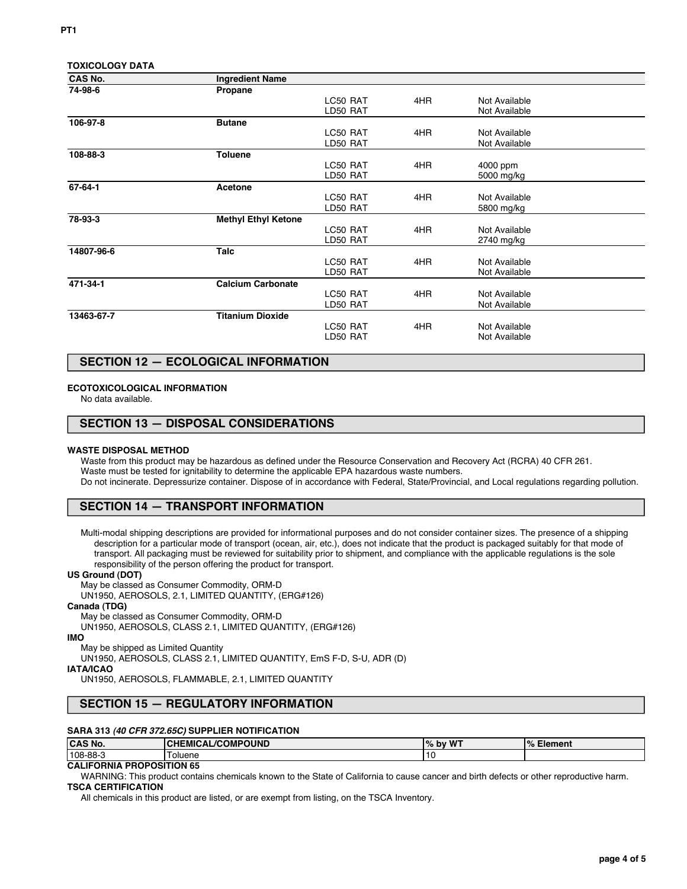| <b>CAS No.</b> | <b>Ingredient Name</b>     |          |     |               |  |
|----------------|----------------------------|----------|-----|---------------|--|
| 74-98-6        | Propane                    |          |     |               |  |
|                |                            | LC50 RAT | 4HR | Not Available |  |
|                |                            | LD50 RAT |     | Not Available |  |
| 106-97-8       | <b>Butane</b>              |          |     |               |  |
|                |                            | LC50 RAT | 4HR | Not Available |  |
|                |                            | LD50 RAT |     | Not Available |  |
| 108-88-3       | <b>Toluene</b>             |          |     |               |  |
|                |                            | LC50 RAT | 4HR | 4000 ppm      |  |
|                |                            | LD50 RAT |     | 5000 mg/kg    |  |
| 67-64-1        | Acetone                    |          |     |               |  |
|                |                            | LC50 RAT | 4HR | Not Available |  |
|                |                            | LD50 RAT |     | 5800 mg/kg    |  |
| 78-93-3        | <b>Methyl Ethyl Ketone</b> |          |     |               |  |
|                |                            | LC50 RAT | 4HR | Not Available |  |
|                |                            | LD50 RAT |     | 2740 mg/kg    |  |
| 14807-96-6     | Talc                       |          |     |               |  |
|                |                            | LC50 RAT | 4HR | Not Available |  |
|                |                            | LD50 RAT |     | Not Available |  |
| 471-34-1       | <b>Calcium Carbonate</b>   |          |     |               |  |
|                |                            | LC50 RAT | 4HR | Not Available |  |
|                |                            | LD50 RAT |     | Not Available |  |
| 13463-67-7     | <b>Titanium Dioxide</b>    |          |     |               |  |
|                |                            | LC50 RAT | 4HR | Not Available |  |
|                |                            | LD50 RAT |     | Not Available |  |
|                |                            |          |     |               |  |

## **SECTION 12 — ECOLOGICAL INFORMATION**

#### **ECOTOXICOLOGICAL INFORMATION**

No data available.

## **SECTION 13 — DISPOSAL CONSIDERATIONS**

#### **WASTE DISPOSAL METHOD**

Waste from this product may be hazardous as defined under the Resource Conservation and Recovery Act (RCRA) 40 CFR 261. Waste must be tested for ignitability to determine the applicable EPA hazardous waste numbers. Do not incinerate. Depressurize container. Dispose of in accordance with Federal, State/Provincial, and Local regulations regarding pollution.

# **SECTION 14 — TRANSPORT INFORMATION**

Multi-modal shipping descriptions are provided for informational purposes and do not consider container sizes. The presence of a shipping description for a particular mode of transport (ocean, air, etc.), does not indicate that the product is packaged suitably for that mode of transport. All packaging must be reviewed for suitability prior to shipment, and compliance with the applicable regulations is the sole responsibility of the person offering the product for transport.

#### **US Ground (DOT)**

May be classed as Consumer Commodity, ORM-D

UN1950, AEROSOLS, 2.1, LIMITED QUANTITY, (ERG#126)

#### **Canada (TDG)**

May be classed as Consumer Commodity, ORM-D

UN1950, AEROSOLS, CLASS 2.1, LIMITED QUANTITY, (ERG#126)

#### **IMO**

May be shipped as Limited Quantity

UN1950, AEROSOLS, CLASS 2.1, LIMITED QUANTITY, EmS F-D, S-U, ADR (D)

## **IATA/ICAO**

UN1950, AEROSOLS, FLAMMABLE, 2.1, LIMITED QUANTITY

# **SECTION 15 — REGULATORY INFORMATION**

#### **SARA 313** *(40 CFR 372.65C)* **SUPPLIER NOTIFICATION**

| <b>CAS No.</b> | <b>CHEMICAL/COMPOUND</b> | by WT<br>$\frac{9}{6}$ | $\%$<br>Element |
|----------------|--------------------------|------------------------|-----------------|
| 108-88-3       | <b>Toluene</b>           | ∪ו                     |                 |

#### **CALIFORNIA PROPOSITION 65**

WARNING: This product contains chemicals known to the State of California to cause cancer and birth defects or other reproductive harm. **TSCA CERTIFICATION**

All chemicals in this product are listed, or are exempt from listing, on the TSCA Inventory.

**TOXICOLOGY DATA**